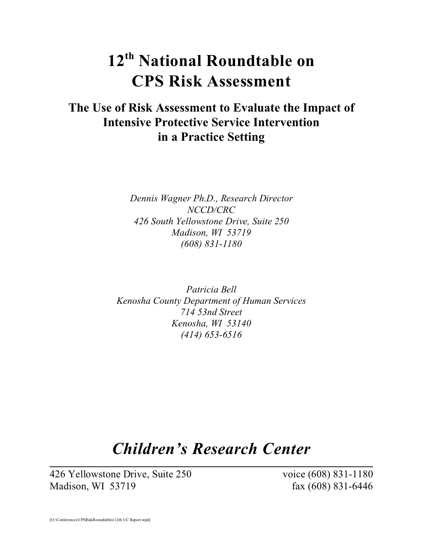# **12th National Roundtable on CPS Risk Assessment**

# **The Use of Risk Assessment to Evaluate the Impact of Intensive Protective Service Intervention in a Practice Setting**

*Dennis Wagner Ph.D., Research Director NCCD/CRC 426 South Yellowstone Drive, Suite 250 Madison, WI 53719 (608) 831-1180*

*Patricia Bell Kenosha County Department of Human Services 714 53nd Street Kenosha, WI 53140 (414) 653-6516*

# *Children's Research Center*

426 Yellowstone Drive, Suite 250 voice (608) 831-1180 Madison, WI 53719 fax (608) 831-6446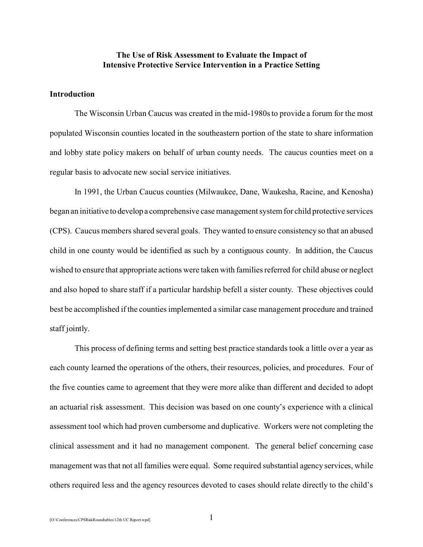# **The Use of Risk Assessment to Evaluate the Impact of Intensive Protective Service Intervention in a Practice Setting**

## **Introduction**

The Wisconsin Urban Caucus was created in the mid-1980s to provide a forum for the most populated Wisconsin counties located in the southeastern portion of the state to share information and lobby state policy makers on behalf of urban county needs. The caucus counties meet on a regular basis to advocate new social service initiatives.

In 1991, the Urban Caucus counties (Milwaukee, Dane, Waukesha, Racine, and Kenosha) began an initiative to develop a comprehensive case management system for child protective services (CPS). Caucus members shared several goals. They wanted to ensure consistency so that an abused child in one county would be identified as such by a contiguous county. In addition, the Caucus wished to ensure that appropriate actions were taken with families referred for child abuse or neglect and also hoped to share staff if a particular hardship befell a sister county. These objectives could best be accomplished if the counties implemented a similar case management procedure and trained staff jointly.

This process of defining terms and setting best practice standards took a little over a year as each county learned the operations of the others, their resources, policies, and procedures. Four of the five counties came to agreement that they were more alike than different and decided to adopt an actuarial risk assessment. This decision was based on one county's experience with a clinical assessment tool which had proven cumbersome and duplicative. Workers were not completing the clinical assessment and it had no management component. The general belief concerning case management was that not all families were equal. Some required substantial agency services, while others required less and the agency resources devoted to cases should relate directly to the child's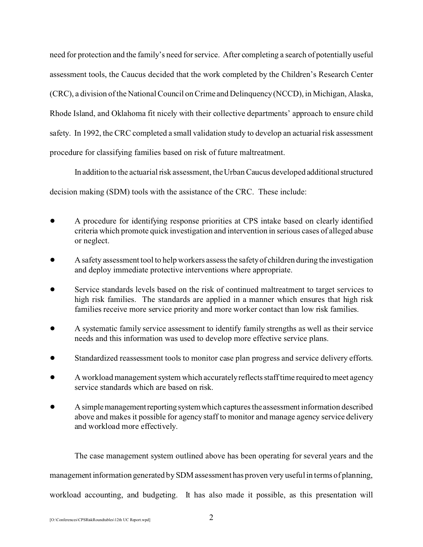need for protection and the family's need for service. After completing a search of potentially useful assessment tools, the Caucus decided that the work completed by the Children's Research Center (CRC), a division of the National Council on Crime and Delinquency (NCCD), in Michigan, Alaska, Rhode Island, and Oklahoma fit nicely with their collective departments' approach to ensure child safety. In 1992, the CRC completed a small validation study to develop an actuarial risk assessment procedure for classifying families based on risk of future maltreatment.

In addition to the actuarial risk assessment, the Urban Caucus developed additional structured decision making (SDM) tools with the assistance of the CRC. These include:

- ! A procedure for identifying response priorities at CPS intake based on clearly identified criteria which promote quick investigation and intervention in serious cases of alleged abuse or neglect.
- ! A safety assessment tool to help workers assess the safety of children during the investigation and deploy immediate protective interventions where appropriate.
- Service standards levels based on the risk of continued maltreatment to target services to high risk families. The standards are applied in a manner which ensures that high risk families receive more service priority and more worker contact than low risk families.
- ! A systematic family service assessment to identify family strengths as well as their service needs and this information was used to develop more effective service plans.
- ! Standardized reassessment tools to monitor case plan progress and service delivery efforts.
- ! A workload management system which accurately reflects staff time required to meet agency service standards which are based on risk.
- A simple management reporting system which captures the assessment information described above and makes it possible for agency staff to monitor and manage agency service delivery and workload more effectively.

The case management system outlined above has been operating for several years and the management information generated by SDM assessment has proven very useful in terms of planning, workload accounting, and budgeting. It has also made it possible, as this presentation will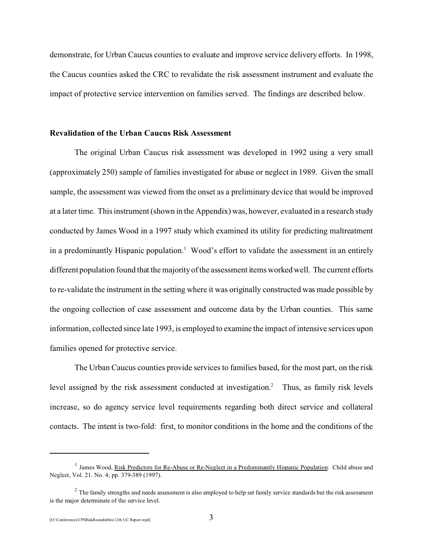demonstrate, for Urban Caucus counties to evaluate and improve service delivery efforts. In 1998, the Caucus counties asked the CRC to revalidate the risk assessment instrument and evaluate the impact of protective service intervention on families served. The findings are described below.

# **Revalidation of the Urban Caucus Risk Assessment**

The original Urban Caucus risk assessment was developed in 1992 using a very small (approximately 250) sample of families investigated for abuse or neglect in 1989. Given the small sample, the assessment was viewed from the onset as a preliminary device that would be improved at a later time. This instrument (shown in the Appendix) was, however, evaluated in a research study conducted by James Wood in a 1997 study which examined its utility for predicting maltreatment in a predominantly Hispanic population.<sup>1</sup> Wood's effort to validate the assessment in an entirely different population found that the majority of the assessment items worked well. The current efforts to re-validate the instrument in the setting where it was originally constructed was made possible by the ongoing collection of case assessment and outcome data by the Urban counties. This same information, collected since late 1993, is employed to examine the impact of intensive services upon families opened for protective service.

The Urban Caucus counties provide services to families based, for the most part, on the risk level assigned by the risk assessment conducted at investigation.<sup>2</sup> Thus, as family risk levels increase, so do agency service level requirements regarding both direct service and collateral contacts. The intent is two-fold: first, to monitor conditions in the home and the conditions of the

<sup>&</sup>lt;sup>1</sup> James Wood, <u>Risk Predictors for Re-Abuse or Re-Neglect in a Predominantly Hispanic Population</u>. Child abuse and Neglect, Vol. 21. No. 4; pp. 379-389 (1997).

 $2$  The family strengths and needs assessment is also employed to help set family service standards but the risk assessment is the major determinate of the service level.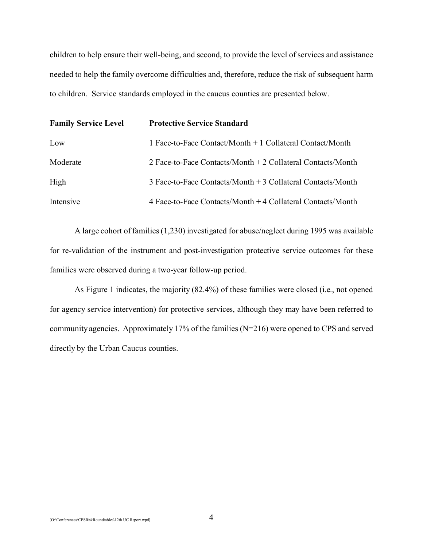children to help ensure their well-being, and second, to provide the level of services and assistance needed to help the family overcome difficulties and, therefore, reduce the risk of subsequent harm to children. Service standards employed in the caucus counties are presented below.

| <b>Family Service Level</b> | <b>Protective Service Standard</b>                          |  |  |
|-----------------------------|-------------------------------------------------------------|--|--|
| Low                         | 1 Face-to-Face Contact/Month + 1 Collateral Contact/Month   |  |  |
| Moderate                    | 2 Face-to-Face Contacts/Month + 2 Collateral Contacts/Month |  |  |
| High                        | 3 Face-to-Face Contacts/Month + 3 Collateral Contacts/Month |  |  |
| Intensive                   | 4 Face-to-Face Contacts/Month + 4 Collateral Contacts/Month |  |  |

A large cohort of families (1,230) investigated for abuse/neglect during 1995 was available for re-validation of the instrument and post-investigation protective service outcomes for these families were observed during a two-year follow-up period.

As Figure 1 indicates, the majority (82.4%) of these families were closed (i.e., not opened for agency service intervention) for protective services, although they may have been referred to community agencies. Approximately 17% of the families (N=216) were opened to CPS and served directly by the Urban Caucus counties.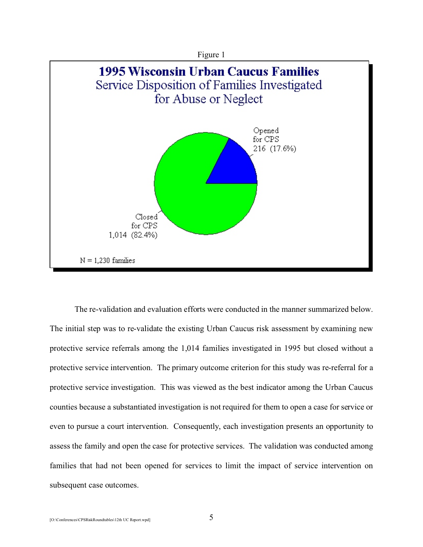



The re-validation and evaluation efforts were conducted in the manner summarized below. The initial step was to re-validate the existing Urban Caucus risk assessment by examining new protective service referrals among the 1,014 families investigated in 1995 but closed without a protective service intervention. The primary outcome criterion for this study was re-referral for a protective service investigation. This was viewed as the best indicator among the Urban Caucus counties because a substantiated investigation is not required for them to open a case for service or even to pursue a court intervention. Consequently, each investigation presents an opportunity to assess the family and open the case for protective services. The validation was conducted among families that had not been opened for services to limit the impact of service intervention on subsequent case outcomes.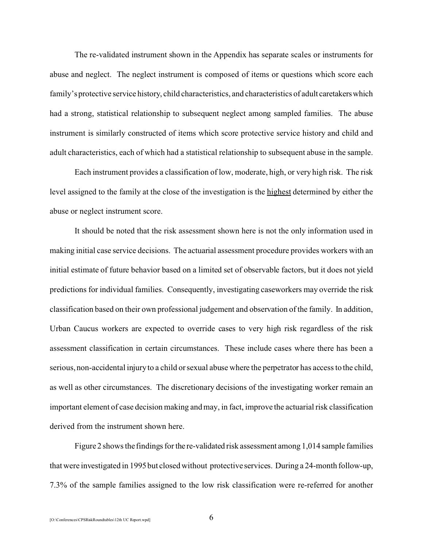The re-validated instrument shown in the Appendix has separate scales or instruments for abuse and neglect. The neglect instrument is composed of items or questions which score each family's protective service history, child characteristics, and characteristics of adult caretakerswhich had a strong, statistical relationship to subsequent neglect among sampled families. The abuse instrument is similarly constructed of items which score protective service history and child and adult characteristics, each of which had a statistical relationship to subsequent abuse in the sample.

Each instrument provides a classification of low, moderate, high, or very high risk. The risk level assigned to the family at the close of the investigation is the highest determined by either the abuse or neglect instrument score.

It should be noted that the risk assessment shown here is not the only information used in making initial case service decisions. The actuarial assessment procedure provides workers with an initial estimate of future behavior based on a limited set of observable factors, but it does not yield predictions for individual families. Consequently, investigating caseworkers may override the risk classification based on their own professional judgement and observation of the family. In addition, Urban Caucus workers are expected to override cases to very high risk regardless of the risk assessment classification in certain circumstances. These include cases where there has been a serious, non-accidental injury to a child or sexual abuse where the perpetrator has access to the child, as well as other circumstances. The discretionary decisions of the investigating worker remain an important element of case decision making and may, in fact, improve the actuarial risk classification derived from the instrument shown here.

Figure 2 shows the findings for the re-validated risk assessment among 1,014 sample families that were investigated in 1995 but closed without protective services. During a 24-month follow-up, 7.3% of the sample families assigned to the low risk classification were re-referred for another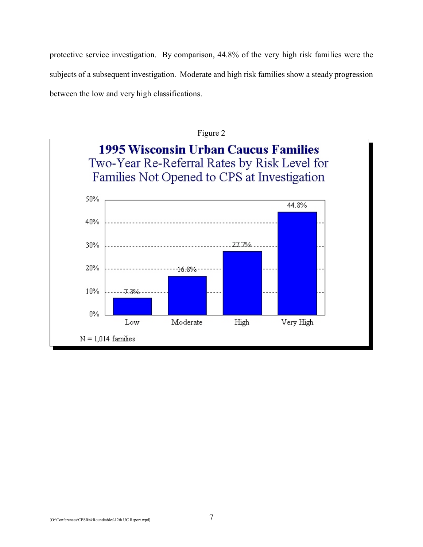protective service investigation. By comparison, 44.8% of the very high risk families were the subjects of a subsequent investigation. Moderate and high risk families show a steady progression between the low and very high classifications.

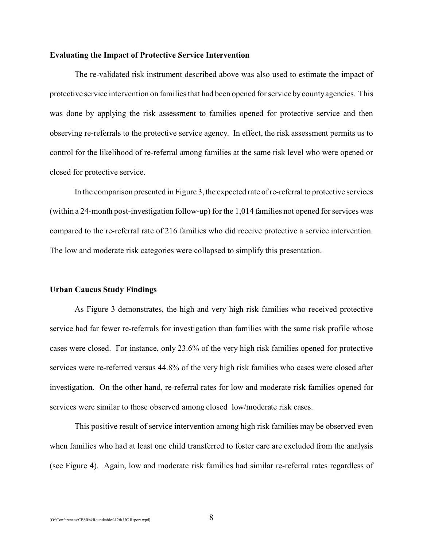### **Evaluating the Impact of Protective Service Intervention**

The re-validated risk instrument described above was also used to estimate the impact of protective service intervention on families that had been opened for service by county agencies. This was done by applying the risk assessment to families opened for protective service and then observing re-referrals to the protective service agency. In effect, the risk assessment permits us to control for the likelihood of re-referral among families at the same risk level who were opened or closed for protective service.

In the comparison presented in Figure 3, the expected rate of re-referral to protective services (within a 24-month post-investigation follow-up) for the 1,014 families not opened for services was compared to the re-referral rate of 216 families who did receive protective a service intervention. The low and moderate risk categories were collapsed to simplify this presentation.

### **Urban Caucus Study Findings**

As Figure 3 demonstrates, the high and very high risk families who received protective service had far fewer re-referrals for investigation than families with the same risk profile whose cases were closed. For instance, only 23.6% of the very high risk families opened for protective services were re-referred versus 44.8% of the very high risk families who cases were closed after investigation. On the other hand, re-referral rates for low and moderate risk families opened for services were similar to those observed among closed low/moderate risk cases.

This positive result of service intervention among high risk families may be observed even when families who had at least one child transferred to foster care are excluded from the analysis (see Figure 4). Again, low and moderate risk families had similar re-referral rates regardless of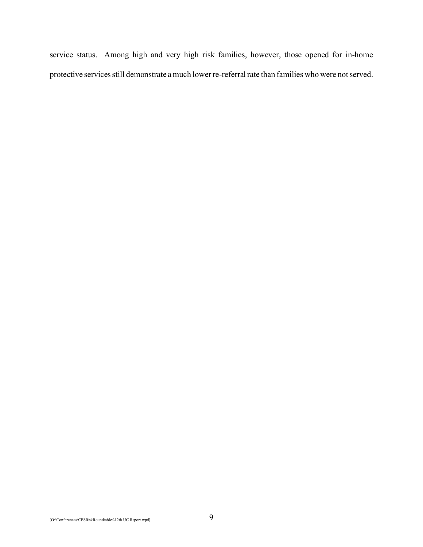service status. Among high and very high risk families, however, those opened for in-home protective services still demonstrate a much lower re-referral rate than families who were not served.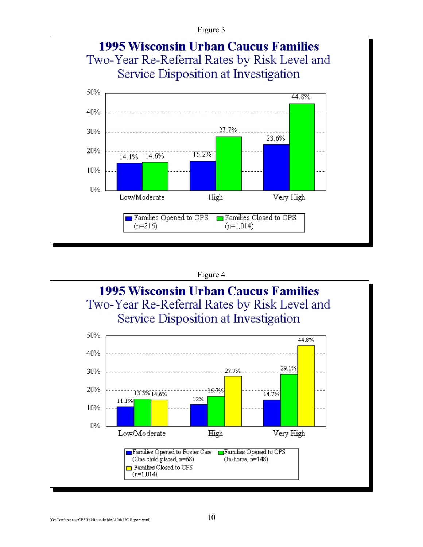Figure 3



# Figure 4

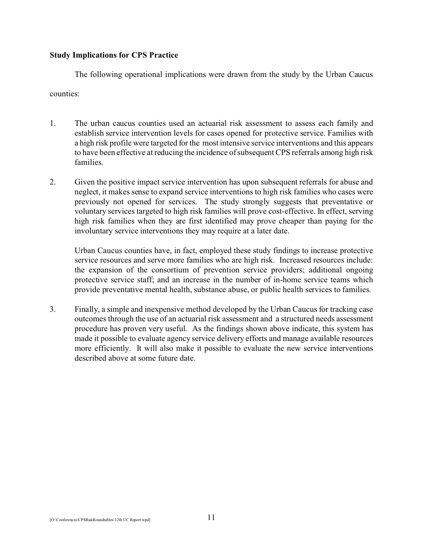# **Study Implications for CPS Practice**

The following operational implications were drawn from the study by the Urban Caucus

## counties:

- 1. The urban caucus counties used an actuarial risk assessment to assess each family and establish service intervention levels for cases opened for protective service. Families with a high risk profile were targeted for the most intensive service interventions and this appears to have been effective at reducing the incidence of subsequent CPS referrals among high risk families.
- 2. Given the positive impact service intervention has upon subsequent referrals for abuse and neglect, it makes sense to expand service interventions to high risk families who cases were previously not opened for services. The study strongly suggests that preventative or voluntary services targeted to high risk families will prove cost-effective. In effect, serving high risk families when they are first identified may prove cheaper than paying for the involuntary service interventions they may require at a later date.

Urban Caucus counties have, in fact, employed these study findings to increase protective service resources and serve more families who are high risk. Increased resources include: the expansion of the consortium of prevention service providers; additional ongoing protective service staff; and an increase in the number of in-home service teams which provide preventative mental health, substance abuse, or public health services to families.

3. Finally, a simple and inexpensive method developed by the Urban Caucus for tracking case outcomes through the use of an actuarial risk assessment and a structured needs assessment procedure has proven very useful. As the findings shown above indicate, this system has made it possible to evaluate agency service delivery efforts and manage available resources more efficiently. It will also make it possible to evaluate the new service interventions described above at some future date.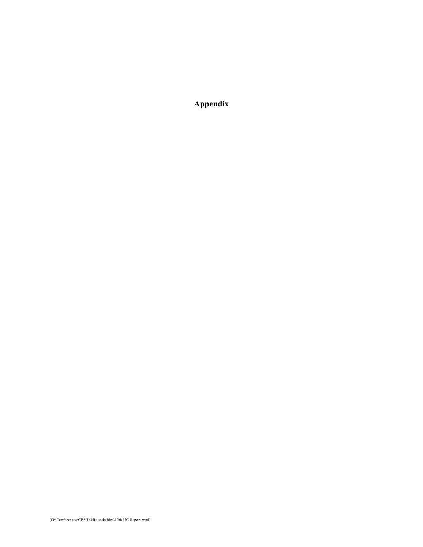**Appendix**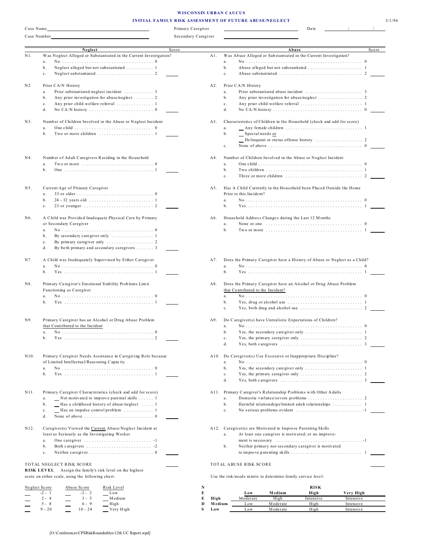#### **WISCONSIN URBAN CAUCUS INITIAL FAMILY RISK ASSESSMENT OF FUTURE ABUSE/NEGLECT** 3/1/94

| Case Name         |                                                                                      | Primary Caregiver   | Date                                                                                             |
|-------------------|--------------------------------------------------------------------------------------|---------------------|--------------------------------------------------------------------------------------------------|
| Case Number       |                                                                                      | Secondary Caregiver |                                                                                                  |
|                   |                                                                                      |                     |                                                                                                  |
|                   | Neglect                                                                              | Score               | Abuse<br>Score                                                                                   |
| $N1$ .            | Was Neglect Alleged or Substantiated in the Current Investigation?                   | A1.                 | Was Abuse Alleged or Substantiated in the Current Investigation?                                 |
|                   | a.                                                                                   |                     | a.                                                                                               |
|                   | Neglect alleged but not substantiated  1<br>b.<br>$\mathbf{c}$ .                     |                     | b.<br>$\mathbf{c}$ .                                                                             |
|                   |                                                                                      |                     |                                                                                                  |
| N2.               | Prior CA/N History                                                                   | A2.                 | Prior CA/N History                                                                               |
|                   | a.                                                                                   |                     | a.                                                                                               |
|                   | Any prior investigation for abuse/neglect  2<br>b.                                   |                     | b.                                                                                               |
|                   | Any prior child welfare referral  1<br>$\mathbf c$ .                                 |                     | $\mathbf c$ .                                                                                    |
|                   | d.                                                                                   |                     | d.                                                                                               |
|                   |                                                                                      |                     |                                                                                                  |
| N3.               | Number of Children Involved in the Abuse or Neglect Incident                         |                     | Characteristics of Children in the Household (check and add for score)<br>A3.                    |
|                   | a.<br>b.                                                                             |                     | a.<br>b.<br>Special needs or                                                                     |
|                   |                                                                                      |                     |                                                                                                  |
|                   |                                                                                      |                     | $c$ .                                                                                            |
|                   |                                                                                      |                     |                                                                                                  |
| N4.               | Number of Adult Caregivers Residing in the Household                                 | A4.                 | Number of Children Involved in the Abuse or Neglect Incident                                     |
|                   | Two or more $\ldots \ldots \ldots \ldots \ldots \ldots \ldots \ldots \ldots 0$<br>a. |                     | a.                                                                                               |
|                   | b.                                                                                   |                     | b.                                                                                               |
|                   |                                                                                      |                     | $\mathbf c$ .                                                                                    |
|                   |                                                                                      |                     |                                                                                                  |
| N5.               | Current Age of Primary Caregiver                                                     |                     | Has A Child Currently in the Household been Placed Outside the Home<br>A5.                       |
|                   | $a$ .                                                                                |                     | Prior to this Incident?                                                                          |
|                   | b.<br>$\mathbf c$ .                                                                  |                     | a.<br>b.                                                                                         |
|                   |                                                                                      |                     |                                                                                                  |
| N6.               | A Child was Provided Inadequate Physical Care by Primary                             | A6.                 | Household Address Changes during the Last 12 M onths                                             |
|                   | or Secondary Caregiver                                                               |                     | None or one $\ldots \ldots \ldots \ldots \ldots \ldots \ldots \ldots \ldots \ldots \ldots$<br>a. |
|                   | a.                                                                                   |                     | b.                                                                                               |
|                   | b.                                                                                   |                     |                                                                                                  |
|                   | $\mathbf c$ .                                                                        |                     |                                                                                                  |
|                   | d.<br>By both primary and secondary caregivers  3                                    |                     |                                                                                                  |
|                   |                                                                                      |                     |                                                                                                  |
| N7.               | A Child was Inadequately Supervised by Either Caregiver                              | A7.                 | Does the Primary Caregiver have a History of Abuse or Neglect as a Child?                        |
|                   | a.                                                                                   |                     | a.                                                                                               |
|                   | b.                                                                                   |                     | b.                                                                                               |
| N8.               | Primary Caregiver's Emotional Stability Problems Limit                               |                     | Does the Primary Caregiver have an Alcohol or Drug Abuse Problem<br>A8.                          |
|                   | Functioning as Caregiver                                                             |                     | that Contributed to the Incident?                                                                |
|                   | a.                                                                                   |                     | a.                                                                                               |
|                   | b.                                                                                   |                     | b.                                                                                               |
|                   |                                                                                      |                     | $\mathbf c$ .                                                                                    |
|                   |                                                                                      |                     |                                                                                                  |
| N9.               | Primary Caregiver has an Alcohol or Drug Abuse Problem                               | A9.                 | Do Caregiver(s) have Unrealistic Expectations of Children?                                       |
|                   | that Contributed to the Incident                                                     |                     | a.                                                                                               |
|                   | a.                                                                                   |                     | b.                                                                                               |
|                   | Yes<br>b.                                                                            |                     | Yes, the primary caregiver only $\dots \dots \dots \dots \dots \dots \dots \dots$<br>с.<br>d.    |
|                   |                                                                                      |                     |                                                                                                  |
| N10.              | Primary Caregiver Needs Assistance in Caregiving Role because                        |                     | A10. Do Caregiver(s) Use Excessive or Inappropriate Discipline?                                  |
|                   | of Limited Intellectual/Reasoning Capacity                                           |                     | a.                                                                                               |
|                   | a.                                                                                   |                     | Yes, the secondary caregiver only $\dots \dots \dots \dots \dots \dots \dots \dots$<br>b.        |
|                   | b.                                                                                   |                     | $\mathbf c$ .                                                                                    |
|                   |                                                                                      |                     | d.                                                                                               |
|                   |                                                                                      |                     |                                                                                                  |
| N11.              | Primary Caregiver Characteristics (check and add for score)                          |                     | A11. Primary Caregiver's Relationship Problems with Other Adults                                 |
|                   | Not motivated to improve parental skills  1<br>a.                                    |                     | a.                                                                                               |
|                   | b.<br>Has a childhood history of abuse/neglect  1                                    |                     | Harmful relationships/limited adult relationships  1<br>b.                                       |
|                   | Has an impulse control problem  1<br>$\mathbf c$ .                                   |                     | No serious problems evident 1<br>$\mathbf c$ .                                                   |
|                   | d.                                                                                   |                     |                                                                                                  |
| N12.              | Caregiver(s) Viewed the Current Abuse/Neglect Incident at                            |                     | A12. Caregiver(s) are Motivated to Improve Parenting Skills                                      |
|                   | least as Seriously as the Investigating Worker                                       |                     | At least one caregiver is motivated; or no improve-<br>a.                                        |
|                   | a.                                                                                   |                     |                                                                                                  |
|                   | b.                                                                                   |                     | b.<br>Neither primary nor secondary caregiver is motivated                                       |
|                   | c.                                                                                   |                     |                                                                                                  |
|                   |                                                                                      |                     |                                                                                                  |
|                   | TOTAL NEGLECT RISK SCORE                                                             |                     | TOTAL ABUSE RISK SCORE                                                                           |
| <b>RISK LEVEL</b> | Assign the family's risk level on the highest                                        |                     |                                                                                                  |
|                   | score on either scale, using the following chart:                                    |                     | Use the risk/needs matrix to determine family service level:                                     |
| Neglect Score     | Abuse Score<br>Risk Level                                                            | N                   | <b>RISK</b>                                                                                      |
|                   |                                                                                      |                     |                                                                                                  |

-2 - 1 -2 - 2 Low **E Low M edium High Very High** 2 - 4 3 - 5 M edium **E High** Moderate High Intensive Intensive 5 - 8 6 - 9 High **D M edium** Low M ode rate High Intensive 9 - 20 10 - 24 Very High **S Low Low Moderate** High Intensive

 $\frac{1}{2}$